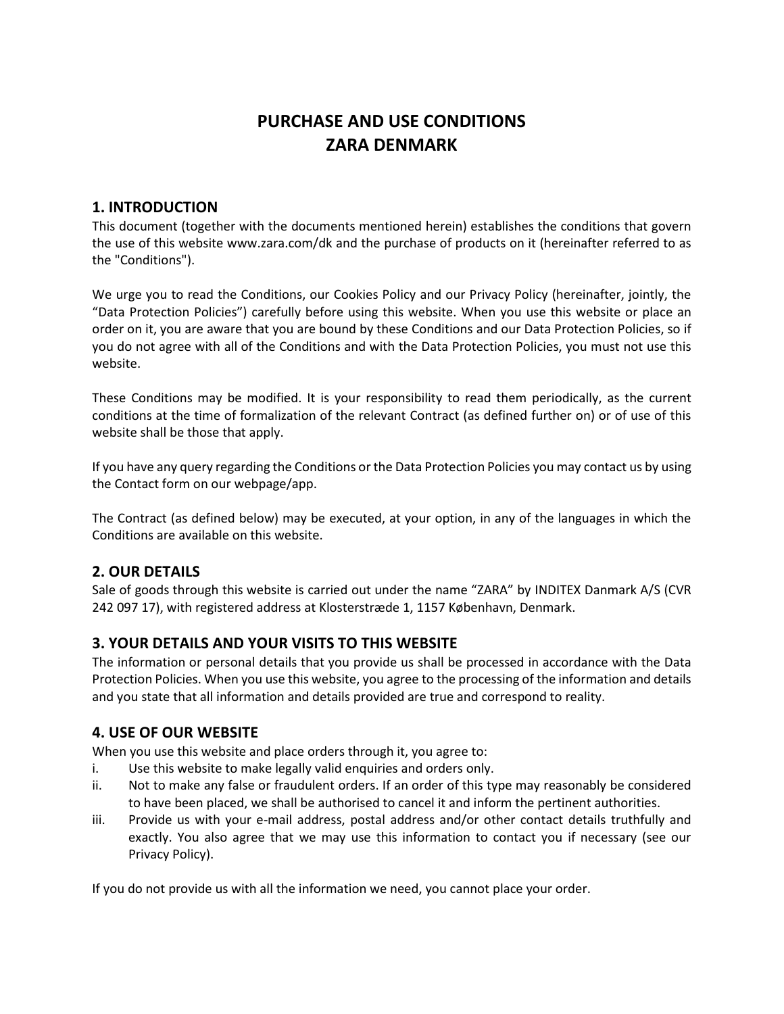# **PURCHASE AND USE CONDITIONS ZARA DENMARK**

# **1. INTRODUCTION**

This document (together with the documents mentioned herein) establishes the conditions that govern the use of this website [www.zara.com/dk](http://www.zara.com/dk) and the purchase of products on it (hereinafter referred to as the "Conditions").

We urge you to read the Conditions, our Cookies Policy and our Privacy Policy (hereinafter, jointly, the "Data Protection Policies") carefully before using this website. When you use this website or place an order on it, you are aware that you are bound by these Conditions and our Data Protection Policies, so if you do not agree with all of the Conditions and with the Data Protection Policies, you must not use this website.

These Conditions may be modified. It is your responsibility to read them periodically, as the current conditions at the time of formalization of the relevant Contract (as defined further on) or of use of this website shall be those that apply.

If you have any query regarding the Conditions or the Data Protection Policies you may contact us by using the Contact form on our webpage/app.

The Contract (as defined below) may be executed, at your option, in any of the languages in which the Conditions are available on this website.

# **2. OUR DETAILS**

Sale of goods through this website is carried out under the name "ZARA" by INDITEX Danmark A/S (CVR 242 097 17), with registered address at Klosterstræde 1, 1157 København, Denmark.

# **3. YOUR DETAILS AND YOUR VISITS TO THIS WEBSITE**

The information or personal details that you provide us shall be processed in accordance with the Data Protection Policies. When you use this website, you agree to the processing of the information and details and you state that all information and details provided are true and correspond to reality.

# **4. USE OF OUR WEBSITE**

When you use this website and place orders through it, you agree to:

- i. Use this website to make legally valid enquiries and orders only.
- ii. Not to make any false or fraudulent orders. If an order of this type may reasonably be considered to have been placed, we shall be authorised to cancel it and inform the pertinent authorities.
- iii. Provide us with your e-mail address, postal address and/or other contact details truthfully and exactly. You also agree that we may use this information to contact you if necessary (see our Privacy Policy).

If you do not provide us with all the information we need, you cannot place your order.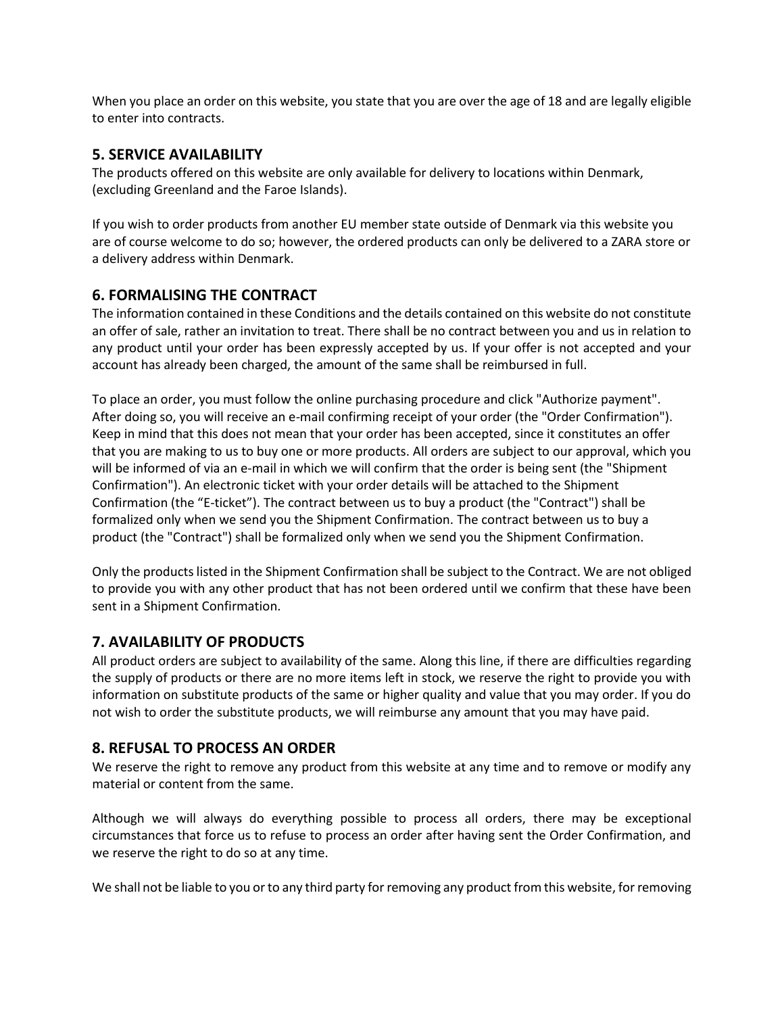When you place an order on this website, you state that you are over the age of 18 and are legally eligible to enter into contracts.

# **5. SERVICE AVAILABILITY**

The products offered on this website are only available for delivery to locations within Denmark, (excluding Greenland and the Faroe Islands).

If you wish to order products from another EU member state outside of Denmark via this website you are of course welcome to do so; however, the ordered products can only be delivered to a ZARA store or a delivery address within Denmark.

# **6. FORMALISING THE CONTRACT**

The information contained in these Conditions and the details contained on this website do not constitute an offer of sale, rather an invitation to treat. There shall be no contract between you and us in relation to any product until your order has been expressly accepted by us. If your offer is not accepted and your account has already been charged, the amount of the same shall be reimbursed in full.

To place an order, you must follow the online purchasing procedure and click "Authorize payment". After doing so, you will receive an e-mail confirming receipt of your order (the "Order Confirmation"). Keep in mind that this does not mean that your order has been accepted, since it constitutes an offer that you are making to us to buy one or more products. All orders are subject to our approval, which you will be informed of via an e-mail in which we will confirm that the order is being sent (the "Shipment Confirmation"). An electronic ticket with your order details will be attached to the Shipment Confirmation (the "E-ticket"). The contract between us to buy a product (the "Contract") shall be formalized only when we send you the Shipment Confirmation. The contract between us to buy a product (the "Contract") shall be formalized only when we send you the Shipment Confirmation.

Only the products listed in the Shipment Confirmation shall be subject to the Contract. We are not obliged to provide you with any other product that has not been ordered until we confirm that these have been sent in a Shipment Confirmation.

# **7. AVAILABILITY OF PRODUCTS**

All product orders are subject to availability of the same. Along this line, if there are difficulties regarding the supply of products or there are no more items left in stock, we reserve the right to provide you with information on substitute products of the same or higher quality and value that you may order. If you do not wish to order the substitute products, we will reimburse any amount that you may have paid.

# **8. REFUSAL TO PROCESS AN ORDER**

We reserve the right to remove any product from this website at any time and to remove or modify any material or content from the same.

Although we will always do everything possible to process all orders, there may be exceptional circumstances that force us to refuse to process an order after having sent the Order Confirmation, and we reserve the right to do so at any time.

We shall not be liable to you or to any third party for removing any product from this website, for removing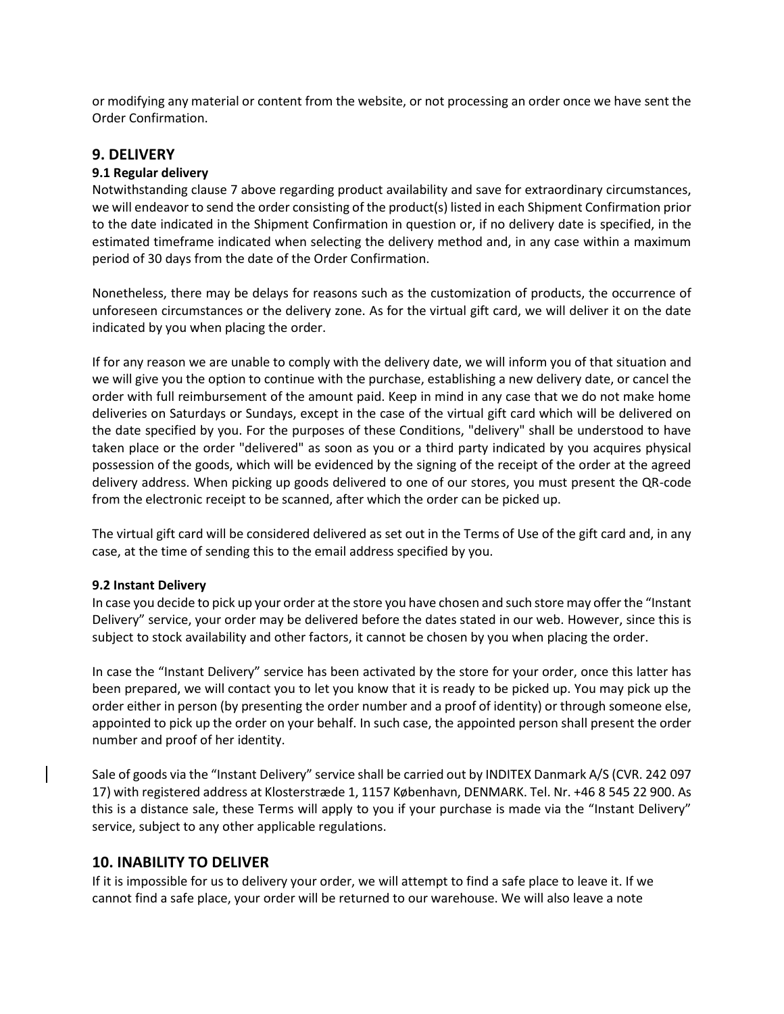or modifying any material or content from the website, or not processing an order once we have sent the Order Confirmation.

# **9. DELIVERY**

#### **9.1 Regular delivery**

Notwithstanding clause 7 above regarding product availability and save for extraordinary circumstances, we will endeavor to send the order consisting of the product(s) listed in each Shipment Confirmation prior to the date indicated in the Shipment Confirmation in question or, if no delivery date is specified, in the estimated timeframe indicated when selecting the delivery method and, in any case within a maximum period of 30 days from the date of the Order Confirmation.

Nonetheless, there may be delays for reasons such as the customization of products, the occurrence of unforeseen circumstances or the delivery zone. As for the virtual gift card, we will deliver it on the date indicated by you when placing the order.

If for any reason we are unable to comply with the delivery date, we will inform you of that situation and we will give you the option to continue with the purchase, establishing a new delivery date, or cancel the order with full reimbursement of the amount paid. Keep in mind in any case that we do not make home deliveries on Saturdays or Sundays, except in the case of the virtual gift card which will be delivered on the date specified by you. For the purposes of these Conditions, "delivery" shall be understood to have taken place or the order "delivered" as soon as you or a third party indicated by you acquires physical possession of the goods, which will be evidenced by the signing of the receipt of the order at the agreed delivery address. When picking up goods delivered to one of our stores, you must present the QR-code from the electronic receipt to be scanned, after which the order can be picked up.

The virtual gift card will be considered delivered as set out in the Terms of Use of the gift card and, in any case, at the time of sending this to the email address specified by you.

#### **9.2 Instant Delivery**

In case you decide to pick up your order at the store you have chosen and such store may offer the "Instant Delivery" service, your order may be delivered before the dates stated in our web. However, since this is subject to stock availability and other factors, it cannot be chosen by you when placing the order.

In case the "Instant Delivery" service has been activated by the store for your order, once this latter has been prepared, we will contact you to let you know that it is ready to be picked up. You may pick up the order either in person (by presenting the order number and a proof of identity) or through someone else, appointed to pick up the order on your behalf. In such case, the appointed person shall present the order number and proof of her identity.

Sale of goods via the "Instant Delivery" service shall be carried out by INDITEX Danmark A/S (CVR. 242 097 17) with registered address at Klosterstræde 1, 1157 København, DENMARK. Tel. Nr. +46 8 545 22 900. As this is a distance sale, these Terms will apply to you if your purchase is made via the "Instant Delivery" service, subject to any other applicable regulations.

# **10. INABILITY TO DELIVER**

If it is impossible for us to delivery your order, we will attempt to find a safe place to leave it. If we cannot find a safe place, your order will be returned to our warehouse. We will also leave a note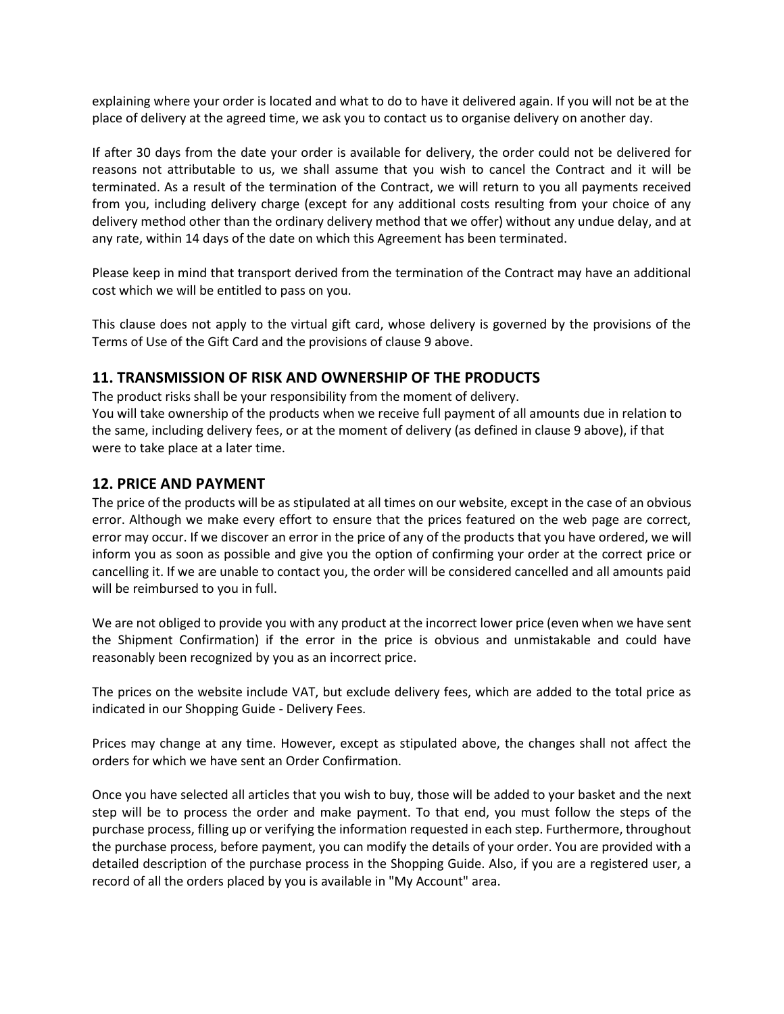explaining where your order is located and what to do to have it delivered again. If you will not be at the place of delivery at the agreed time, we ask you to contact us to organise delivery on another day.

If after 30 days from the date your order is available for delivery, the order could not be delivered for reasons not attributable to us, we shall assume that you wish to cancel the Contract and it will be terminated. As a result of the termination of the Contract, we will return to you all payments received from you, including delivery charge (except for any additional costs resulting from your choice of any delivery method other than the ordinary delivery method that we offer) without any undue delay, and at any rate, within 14 days of the date on which this Agreement has been terminated.

Please keep in mind that transport derived from the termination of the Contract may have an additional cost which we will be entitled to pass on you.

This clause does not apply to the virtual gift card, whose delivery is governed by the provisions of the Terms of Use of the Gift Card and the provisions of clause 9 above.

# **11. TRANSMISSION OF RISK AND OWNERSHIP OF THE PRODUCTS**

The product risks shall be your responsibility from the moment of delivery.

You will take ownership of the products when we receive full payment of all amounts due in relation to the same, including delivery fees, or at the moment of delivery (as defined in clause 9 above), if that were to take place at a later time.

# **12. PRICE AND PAYMENT**

The price of the products will be as stipulated at all times on our website, except in the case of an obvious error. Although we make every effort to ensure that the prices featured on the web page are correct, error may occur. If we discover an error in the price of any of the products that you have ordered, we will inform you as soon as possible and give you the option of confirming your order at the correct price or cancelling it. If we are unable to contact you, the order will be considered cancelled and all amounts paid will be reimbursed to you in full.

We are not obliged to provide you with any product at the incorrect lower price (even when we have sent the Shipment Confirmation) if the error in the price is obvious and unmistakable and could have reasonably been recognized by you as an incorrect price.

The prices on the website include VAT, but exclude delivery fees, which are added to the total price as indicated in our Shopping Guide - Delivery Fees.

Prices may change at any time. However, except as stipulated above, the changes shall not affect the orders for which we have sent an Order Confirmation.

Once you have selected all articles that you wish to buy, those will be added to your basket and the next step will be to process the order and make payment. To that end, you must follow the steps of the purchase process, filling up or verifying the information requested in each step. Furthermore, throughout the purchase process, before payment, you can modify the details of your order. You are provided with a detailed description of the purchase process in the Shopping Guide. Also, if you are a registered user, a record of all the orders placed by you is available in "My Account" area.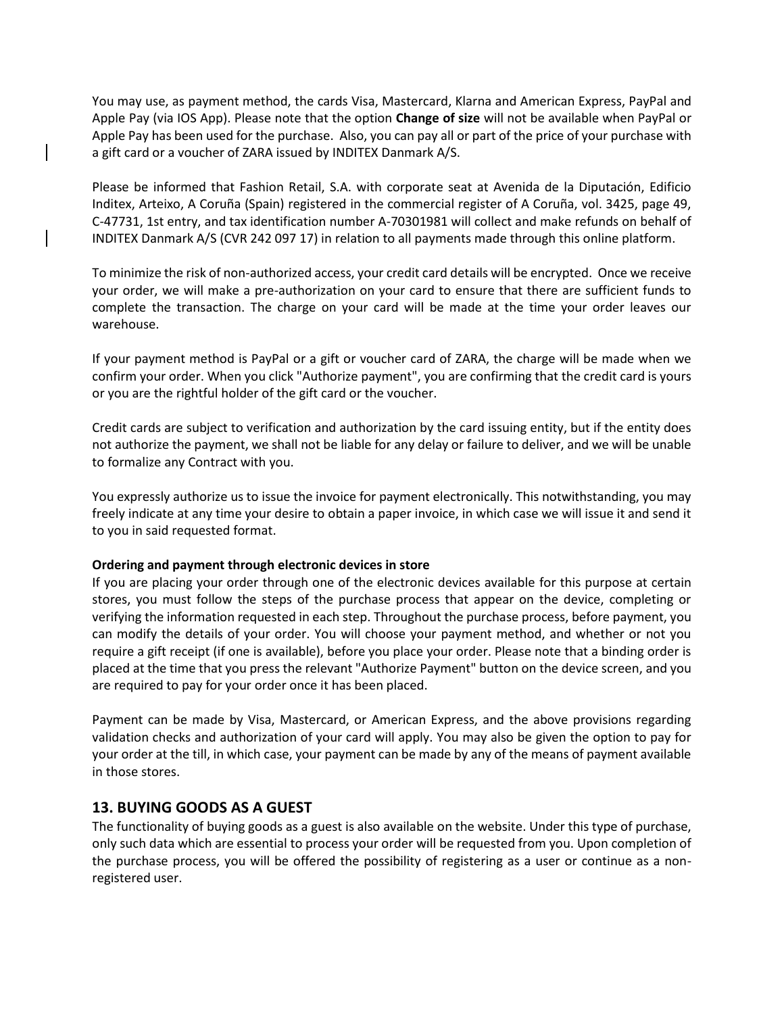You may use, as payment method, the cards Visa, Mastercard, Klarna and American Express, PayPal and Apple Pay (via IOS App). Please note that the option **Change of size** will not be available when PayPal or Apple Pay has been used for the purchase. Also, you can pay all or part of the price of your purchase with a gift card or a voucher of ZARA issued by INDITEX Danmark A/S.

Please be informed that Fashion Retail, S.A. with corporate seat at Avenida de la Diputación, Edificio Inditex, Arteixo, A Coruña (Spain) registered in the commercial register of A Coruña, vol. 3425, page 49, C-47731, 1st entry, and tax identification number A-70301981 will collect and make refunds on behalf of INDITEX Danmark A/S (CVR 242 097 17) in relation to all payments made through this online platform.

To minimize the risk of non-authorized access, your credit card details will be encrypted. Once we receive your order, we will make a pre-authorization on your card to ensure that there are sufficient funds to complete the transaction. The charge on your card will be made at the time your order leaves our warehouse.

If your payment method is PayPal or a gift or voucher card of ZARA, the charge will be made when we confirm your order. When you click "Authorize payment", you are confirming that the credit card is yours or you are the rightful holder of the gift card or the voucher.

Credit cards are subject to verification and authorization by the card issuing entity, but if the entity does not authorize the payment, we shall not be liable for any delay or failure to deliver, and we will be unable to formalize any Contract with you.

You expressly authorize us to issue the invoice for payment electronically. This notwithstanding, you may freely indicate at any time your desire to obtain a paper invoice, in which case we will issue it and send it to you in said requested format.

#### **Ordering and payment through electronic devices in store**

If you are placing your order through one of the electronic devices available for this purpose at certain stores, you must follow the steps of the purchase process that appear on the device, completing or verifying the information requested in each step. Throughout the purchase process, before payment, you can modify the details of your order. You will choose your payment method, and whether or not you require a gift receipt (if one is available), before you place your order. Please note that a binding order is placed at the time that you press the relevant "Authorize Payment" button on the device screen, and you are required to pay for your order once it has been placed.

Payment can be made by Visa, Mastercard, or American Express, and the above provisions regarding validation checks and authorization of your card will apply. You may also be given the option to pay for your order at the till, in which case, your payment can be made by any of the means of payment available in those stores.

# **13. BUYING GOODS AS A GUEST**

The functionality of buying goods as a guest is also available on the website. Under this type of purchase, only such data which are essential to process your order will be requested from you. Upon completion of the purchase process, you will be offered the possibility of registering as a user or continue as a nonregistered user.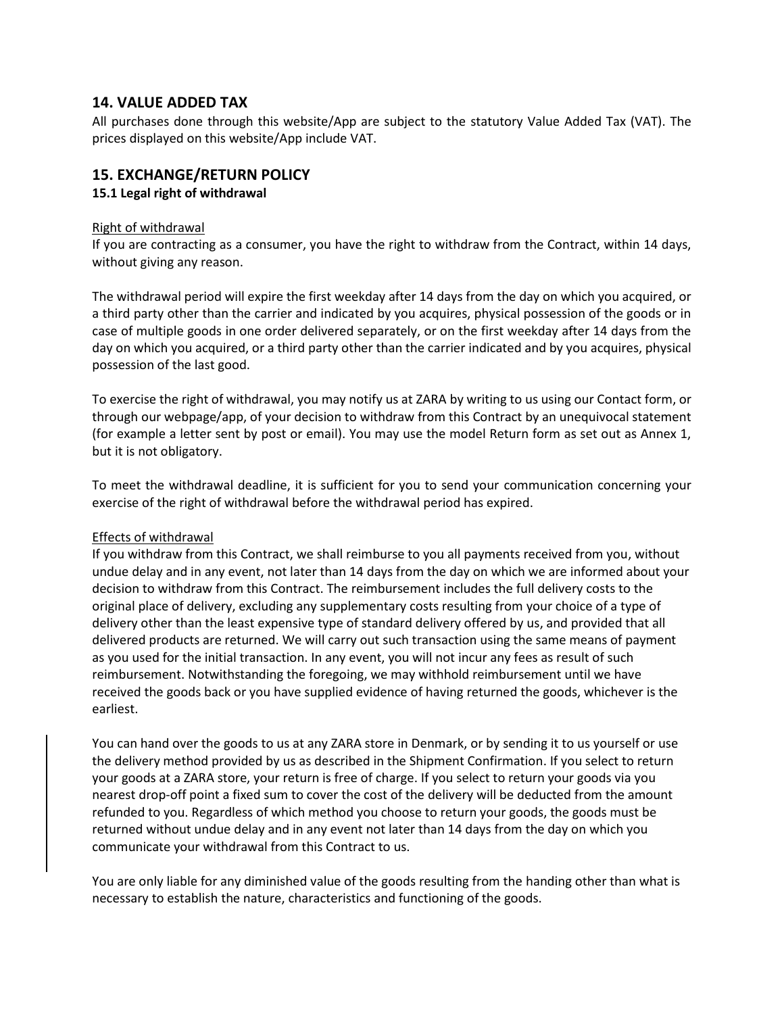# **14. VALUE ADDED TAX**

All purchases done through this website/App are subject to the statutory Value Added Tax (VAT). The prices displayed on this website/App include VAT.

# **15. EXCHANGE/RETURN POLICY**

### **15.1 Legal right of withdrawal**

#### Right of withdrawal

If you are contracting as a consumer, you have the right to withdraw from the Contract, within 14 days, without giving any reason.

The withdrawal period will expire the first weekday after 14 days from the day on which you acquired, or a third party other than the carrier and indicated by you acquires, physical possession of the goods or in case of multiple goods in one order delivered separately, or on the first weekday after 14 days from the day on which you acquired, or a third party other than the carrier indicated and by you acquires, physical possession of the last good.

To exercise the right of withdrawal, you may notify us at ZARA by writing to us using our Contact form, or through our webpage/app, of your decision to withdraw from this Contract by an unequivocal statement (for example a letter sent by post or email). You may use the model Return form as set out as Annex 1, but it is not obligatory.

To meet the withdrawal deadline, it is sufficient for you to send your communication concerning your exercise of the right of withdrawal before the withdrawal period has expired.

#### Effects of withdrawal

If you withdraw from this Contract, we shall reimburse to you all payments received from you, without undue delay and in any event, not later than 14 days from the day on which we are informed about your decision to withdraw from this Contract. The reimbursement includes the full delivery costs to the original place of delivery, excluding any supplementary costs resulting from your choice of a type of delivery other than the least expensive type of standard delivery offered by us, and provided that all delivered products are returned. We will carry out such transaction using the same means of payment as you used for the initial transaction. In any event, you will not incur any fees as result of such reimbursement. Notwithstanding the foregoing, we may withhold reimbursement until we have received the goods back or you have supplied evidence of having returned the goods, whichever is the earliest.

You can hand over the goods to us at any ZARA store in Denmark, or by sending it to us yourself or use the delivery method provided by us as described in the Shipment Confirmation. If you select to return your goods at a ZARA store, your return is free of charge. If you select to return your goods via you nearest drop-off point a fixed sum to cover the cost of the delivery will be deducted from the amount refunded to you. Regardless of which method you choose to return your goods, the goods must be returned without undue delay and in any event not later than 14 days from the day on which you communicate your withdrawal from this Contract to us.

You are only liable for any diminished value of the goods resulting from the handing other than what is necessary to establish the nature, characteristics and functioning of the goods.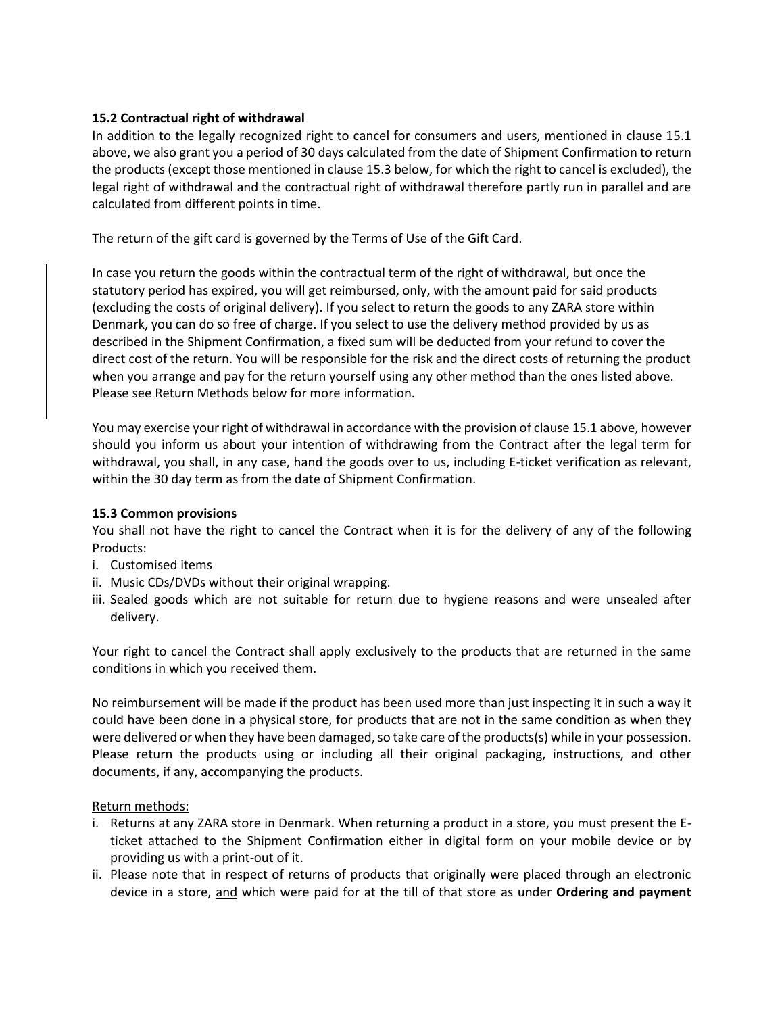#### **15.2 Contractual right of withdrawal**

In addition to the legally recognized right to cancel for consumers and users, mentioned in clause 15.1 above, we also grant you a period of 30 days calculated from the date of Shipment Confirmation to return the products (except those mentioned in clause 15.3 below, for which the right to cancel is excluded), the legal right of withdrawal and the contractual right of withdrawal therefore partly run in parallel and are calculated from different points in time.

The return of the gift card is governed by the Terms of Use of the Gift Card.

In case you return the goods within the contractual term of the right of withdrawal, but once the statutory period has expired, you will get reimbursed, only, with the amount paid for said products (excluding the costs of original delivery). If you select to return the goods to any ZARA store within Denmark, you can do so free of charge. If you select to use the delivery method provided by us as described in the Shipment Confirmation, a fixed sum will be deducted from your refund to cover the direct cost of the return. You will be responsible for the risk and the direct costs of returning the product when you arrange and pay for the return yourself using any other method than the ones listed above. Please see Return Methods below for more information.

You may exercise your right of withdrawal in accordance with the provision of clause 15.1 above, however should you inform us about your intention of withdrawing from the Contract after the legal term for withdrawal, you shall, in any case, hand the goods over to us, including E-ticket verification as relevant, within the 30 day term as from the date of Shipment Confirmation.

#### **15.3 Common provisions**

You shall not have the right to cancel the Contract when it is for the delivery of any of the following Products:

- i. Customised items
- ii. Music CDs/DVDs without their original wrapping.
- iii. Sealed goods which are not suitable for return due to hygiene reasons and were unsealed after delivery.

Your right to cancel the Contract shall apply exclusively to the products that are returned in the same conditions in which you received them.

No reimbursement will be made if the product has been used more than just inspecting it in such a way it could have been done in a physical store, for products that are not in the same condition as when they were delivered or when they have been damaged, so take care of the products(s) while in your possession. Please return the products using or including all their original packaging, instructions, and other documents, if any, accompanying the products.

#### Return methods:

- i. Returns at any ZARA store in Denmark. When returning a product in a store, you must present the Eticket attached to the Shipment Confirmation either in digital form on your mobile device or by providing us with a print-out of it.
- ii. Please note that in respect of returns of products that originally were placed through an electronic device in a store, and which were paid for at the till of that store as under **Ordering and payment**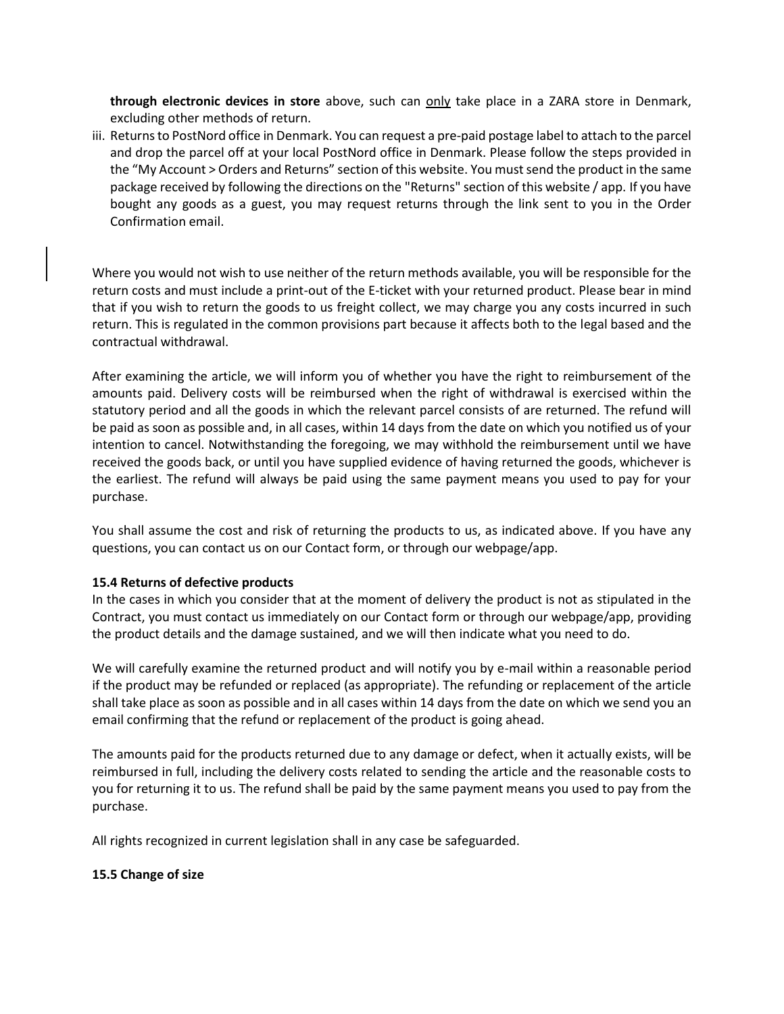**through electronic devices in store** above, such can only take place in a ZARA store in Denmark, excluding other methods of return.

iii. Returns to PostNord office in Denmark. You can request a pre-paid postage label to attach to the parcel and drop the parcel off at your local PostNord office in Denmark. Please follow the steps provided in the "My Account > Orders and Returns" section of this website. You must send the product in the same package received by following the directions on the ["Returns"](http://www.pullandbear.com/se/en/policies-c57004.html?subsectionId=policies_04) section of this website / app. If you have bought any goods as a guest, you may request returns through the link sent to you in the Order Confirmation email.

Where you would not wish to use neither of the return methods available, you will be responsible for the return costs and must include a print-out of the E-ticket with your returned product. Please bear in mind that if you wish to return the goods to us freight collect, we may charge you any costs incurred in such return. This is regulated in the common provisions part because it affects both to the legal based and the contractual withdrawal.

After examining the article, we will inform you of whether you have the right to reimbursement of the amounts paid. Delivery costs will be reimbursed when the right of withdrawal is exercised within the statutory period and all the goods in which the relevant parcel consists of are returned. The refund will be paid as soon as possible and, in all cases, within 14 days from the date on which you notified us of your intention to cancel. Notwithstanding the foregoing, we may withhold the reimbursement until we have received the goods back, or until you have supplied evidence of having returned the goods, whichever is the earliest. The refund will always be paid using the same payment means you used to pay for your purchase.

You shall assume the cost and risk of returning the products to us, as indicated above. If you have any questions, you can contact us on our Contact form, or through our webpage/app.

#### **15.4 Returns of defective products**

In the cases in which you consider that at the moment of delivery the product is not as stipulated in the Contract, you must contact us immediately on our Contact form or through our webpage/app, providing the product details and the damage sustained, and we will then indicate what you need to do.

We will carefully examine the returned product and will notify you by e-mail within a reasonable period if the product may be refunded or replaced (as appropriate). The refunding or replacement of the article shall take place as soon as possible and in all cases within 14 days from the date on which we send you an email confirming that the refund or replacement of the product is going ahead.

The amounts paid for the products returned due to any damage or defect, when it actually exists, will be reimbursed in full, including the delivery costs related to sending the article and the reasonable costs to you for returning it to us. The refund shall be paid by the same payment means you used to pay from the purchase.

All rights recognized in current legislation shall in any case be safeguarded.

#### **15.5 Change of size**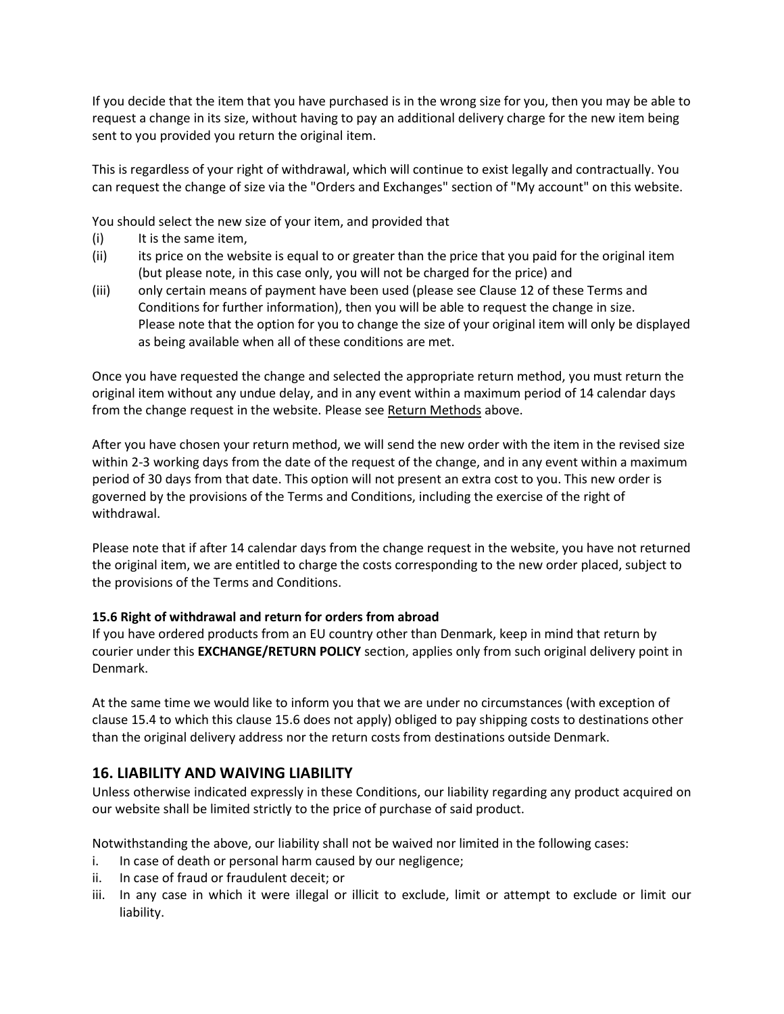If you decide that the item that you have purchased is in the wrong size for you, then you may be able to request a change in its size, without having to pay an additional delivery charge for the new item being sent to you provided you return the original item.

This is regardless of your right of withdrawal, which will continue to exist legally and contractually. You can request the change of size via the "Orders and Exchanges" section of "My account" on this website.

You should select the new size of your item, and provided that

- (i) It is the same item,
- (ii) its price on the website is equal to or greater than the price that you paid for the original item (but please note, in this case only, you will not be charged for the price) and
- (iii) only certain means of payment have been used (please see Clause 12 of these Terms and Conditions for further information), then you will be able to request the change in size. Please note that the option for you to change the size of your original item will only be displayed as being available when all of these conditions are met.

Once you have requested the change and selected the appropriate return method, you must return the original item without any undue delay, and in any event within a maximum period of 14 calendar days from the change request in the website. Please see Return Methods above.

After you have chosen your return method, we will send the new order with the item in the revised size within 2-3 working days from the date of the request of the change, and in any event within a maximum period of 30 days from that date. This option will not present an extra cost to you. This new order is governed by the provisions of the Terms and Conditions, including the exercise of the right of withdrawal.

Please note that if after 14 calendar days from the change request in the website, you have not returned the original item, we are entitled to charge the costs corresponding to the new order placed, subject to the provisions of the Terms and Conditions.

# **15.6 Right of withdrawal and return for orders from abroad**

If you have ordered products from an EU country other than Denmark, keep in mind that return by courier under this **EXCHANGE/RETURN POLICY** section, applies only from such original delivery point in Denmark.

At the same time we would like to inform you that we are under no circumstances (with exception of clause 15.4 to which this clause 15.6 does not apply) obliged to pay shipping costs to destinations other than the original delivery address nor the return costs from destinations outside Denmark.

# **16. LIABILITY AND WAIVING LIABILITY**

Unless otherwise indicated expressly in these Conditions, our liability regarding any product acquired on our website shall be limited strictly to the price of purchase of said product.

Notwithstanding the above, our liability shall not be waived nor limited in the following cases:

- i. In case of death or personal harm caused by our negligence;
- ii. In case of fraud or fraudulent deceit; or
- iii. In any case in which it were illegal or illicit to exclude, limit or attempt to exclude or limit our liability.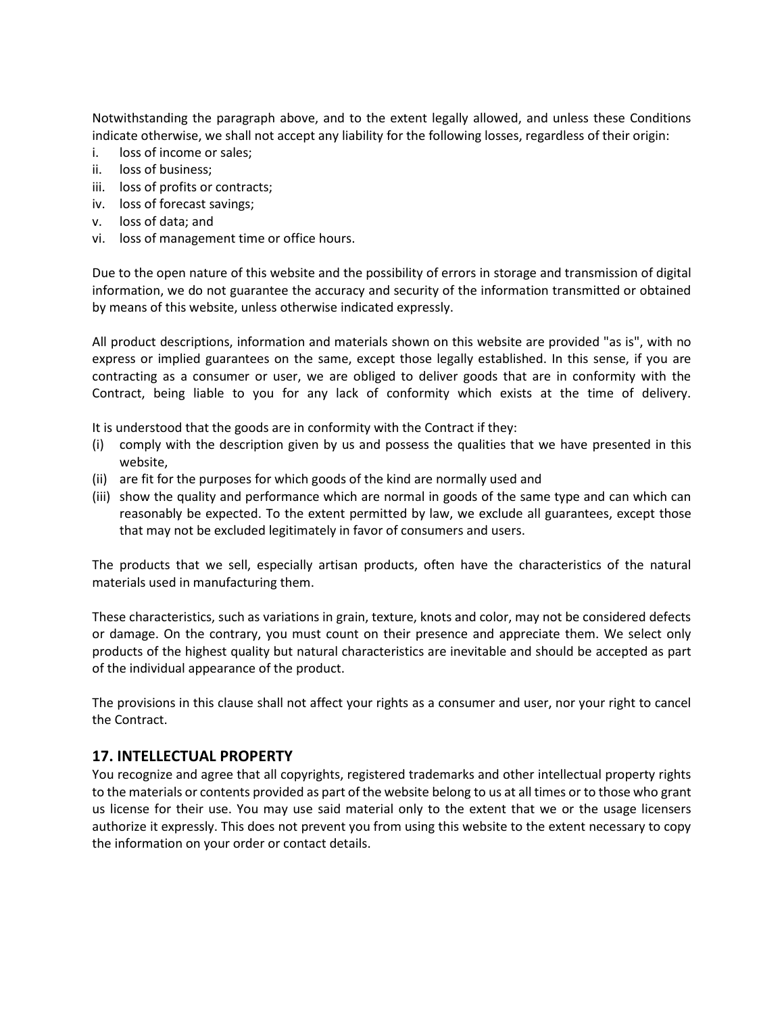Notwithstanding the paragraph above, and to the extent legally allowed, and unless these Conditions indicate otherwise, we shall not accept any liability for the following losses, regardless of their origin:

- i. loss of income or sales;
- ii. loss of business;
- iii. loss of profits or contracts;
- iv. loss of forecast savings;
- v. loss of data; and
- vi. loss of management time or office hours.

Due to the open nature of this website and the possibility of errors in storage and transmission of digital information, we do not guarantee the accuracy and security of the information transmitted or obtained by means of this website, unless otherwise indicated expressly.

All product descriptions, information and materials shown on this website are provided "as is", with no express or implied guarantees on the same, except those legally established. In this sense, if you are contracting as a consumer or user, we are obliged to deliver goods that are in conformity with the Contract, being liable to you for any lack of conformity which exists at the time of delivery.

It is understood that the goods are in conformity with the Contract if they:

- (i) comply with the description given by us and possess the qualities that we have presented in this website,
- (ii) are fit for the purposes for which goods of the kind are normally used and
- (iii) show the quality and performance which are normal in goods of the same type and can which can reasonably be expected. To the extent permitted by law, we exclude all guarantees, except those that may not be excluded legitimately in favor of consumers and users.

The products that we sell, especially artisan products, often have the characteristics of the natural materials used in manufacturing them.

These characteristics, such as variations in grain, texture, knots and color, may not be considered defects or damage. On the contrary, you must count on their presence and appreciate them. We select only products of the highest quality but natural characteristics are inevitable and should be accepted as part of the individual appearance of the product.

The provisions in this clause shall not affect your rights as a consumer and user, nor your right to cancel the Contract.

# **17. INTELLECTUAL PROPERTY**

You recognize and agree that all copyrights, registered trademarks and other intellectual property rights to the materials or contents provided as part of the website belong to us at all times or to those who grant us license for their use. You may use said material only to the extent that we or the usage licensers authorize it expressly. This does not prevent you from using this website to the extent necessary to copy the information on your order or contact details.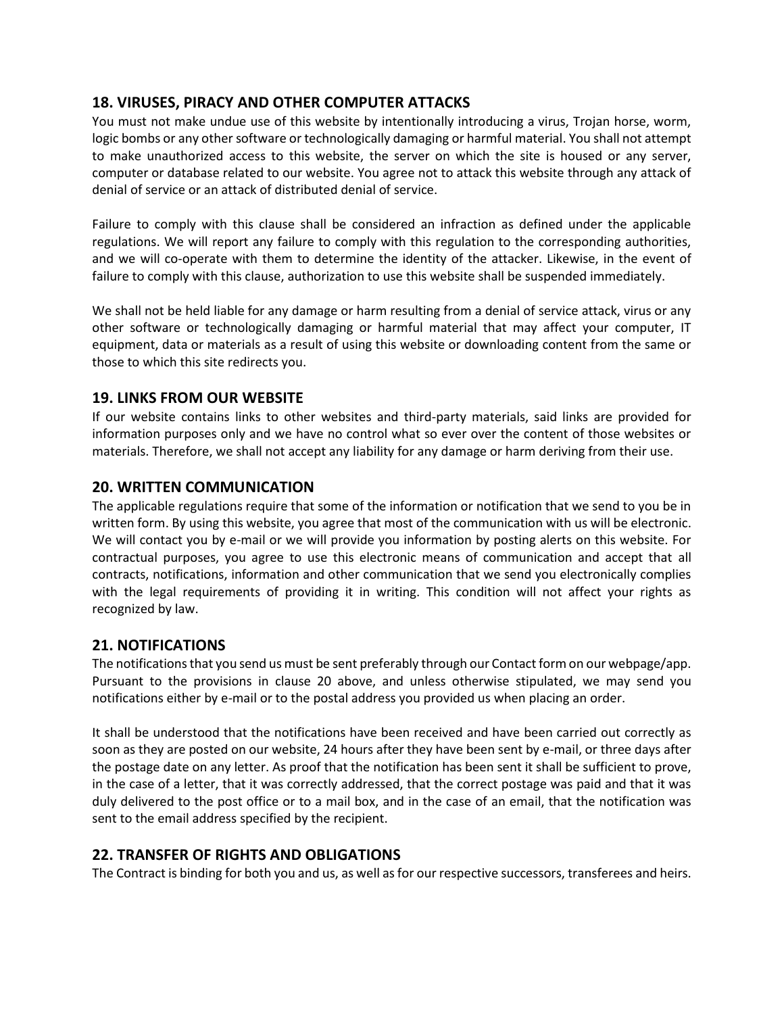# **18. VIRUSES, PIRACY AND OTHER COMPUTER ATTACKS**

You must not make undue use of this website by intentionally introducing a virus, Trojan horse, worm, logic bombs or any other software or technologically damaging or harmful material. You shall not attempt to make unauthorized access to this website, the server on which the site is housed or any server, computer or database related to our website. You agree not to attack this website through any attack of denial of service or an attack of distributed denial of service.

Failure to comply with this clause shall be considered an infraction as defined under the applicable regulations. We will report any failure to comply with this regulation to the corresponding authorities, and we will co-operate with them to determine the identity of the attacker. Likewise, in the event of failure to comply with this clause, authorization to use this website shall be suspended immediately.

We shall not be held liable for any damage or harm resulting from a denial of service attack, virus or any other software or technologically damaging or harmful material that may affect your computer, IT equipment, data or materials as a result of using this website or downloading content from the same or those to which this site redirects you.

# **19. LINKS FROM OUR WEBSITE**

If our website contains links to other websites and third-party materials, said links are provided for information purposes only and we have no control what so ever over the content of those websites or materials. Therefore, we shall not accept any liability for any damage or harm deriving from their use.

# **20. WRITTEN COMMUNICATION**

The applicable regulations require that some of the information or notification that we send to you be in written form. By using this website, you agree that most of the communication with us will be electronic. We will contact you by e-mail or we will provide you information by posting alerts on this website. For contractual purposes, you agree to use this electronic means of communication and accept that all contracts, notifications, information and other communication that we send you electronically complies with the legal requirements of providing it in writing. This condition will not affect your rights as recognized by law.

# **21. NOTIFICATIONS**

The notifications that you send us must be sent preferably through our Contact form on our webpage/app. Pursuant to the provisions in clause 20 above, and unless otherwise stipulated, we may send you notifications either by e-mail or to the postal address you provided us when placing an order.

It shall be understood that the notifications have been received and have been carried out correctly as soon as they are posted on our website, 24 hours after they have been sent by e-mail, or three days after the postage date on any letter. As proof that the notification has been sent it shall be sufficient to prove, in the case of a letter, that it was correctly addressed, that the correct postage was paid and that it was duly delivered to the post office or to a mail box, and in the case of an email, that the notification was sent to the email address specified by the recipient.

# **22. TRANSFER OF RIGHTS AND OBLIGATIONS**

The Contract is binding for both you and us, as well as for our respective successors, transferees and heirs.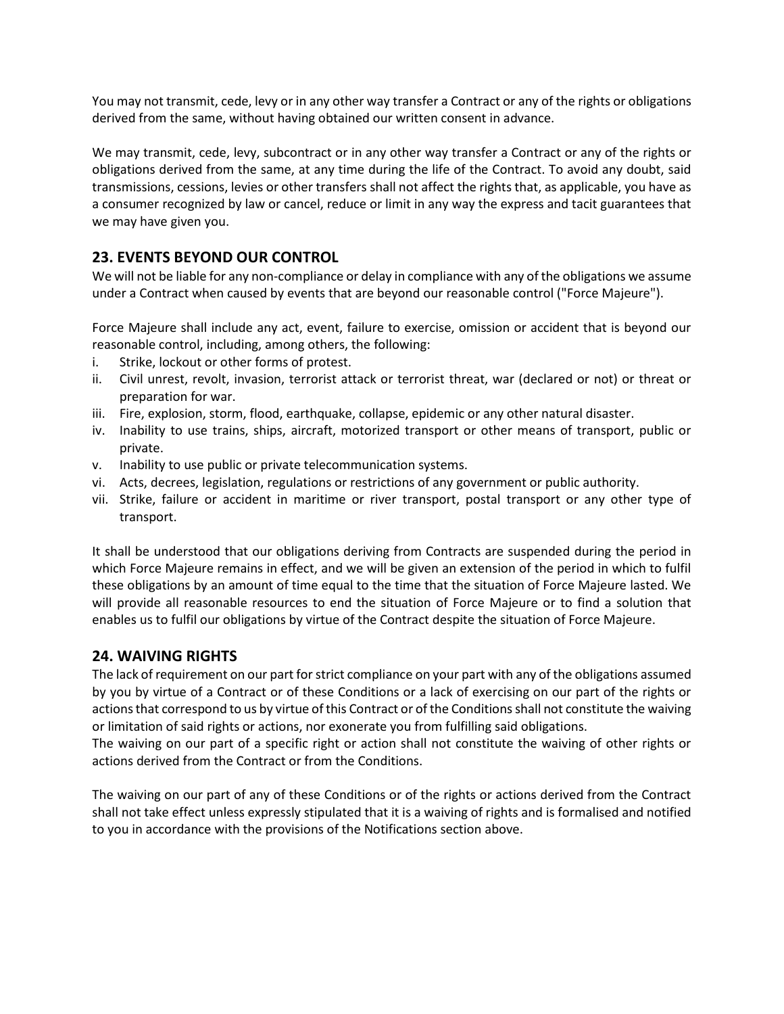You may not transmit, cede, levy or in any other way transfer a Contract or any of the rights or obligations derived from the same, without having obtained our written consent in advance.

We may transmit, cede, levy, subcontract or in any other way transfer a Contract or any of the rights or obligations derived from the same, at any time during the life of the Contract. To avoid any doubt, said transmissions, cessions, levies or other transfers shall not affect the rights that, as applicable, you have as a consumer recognized by law or cancel, reduce or limit in any way the express and tacit guarantees that we may have given you.

# **23. EVENTS BEYOND OUR CONTROL**

We will not be liable for any non-compliance or delay in compliance with any of the obligations we assume under a Contract when caused by events that are beyond our reasonable control ("Force Majeure").

Force Majeure shall include any act, event, failure to exercise, omission or accident that is beyond our reasonable control, including, among others, the following:

- i. Strike, lockout or other forms of protest.
- ii. Civil unrest, revolt, invasion, terrorist attack or terrorist threat, war (declared or not) or threat or preparation for war.
- iii. Fire, explosion, storm, flood, earthquake, collapse, epidemic or any other natural disaster.
- iv. Inability to use trains, ships, aircraft, motorized transport or other means of transport, public or private.
- v. Inability to use public or private telecommunication systems.
- vi. Acts, decrees, legislation, regulations or restrictions of any government or public authority.
- vii. Strike, failure or accident in maritime or river transport, postal transport or any other type of transport.

It shall be understood that our obligations deriving from Contracts are suspended during the period in which Force Majeure remains in effect, and we will be given an extension of the period in which to fulfil these obligations by an amount of time equal to the time that the situation of Force Majeure lasted. We will provide all reasonable resources to end the situation of Force Majeure or to find a solution that enables us to fulfil our obligations by virtue of the Contract despite the situation of Force Majeure.

# **24. WAIVING RIGHTS**

The lack of requirement on our part for strict compliance on your part with any of the obligations assumed by you by virtue of a Contract or of these Conditions or a lack of exercising on our part of the rights or actions that correspond to us by virtue of this Contract or of the Conditions shall not constitute the waiving or limitation of said rights or actions, nor exonerate you from fulfilling said obligations.

The waiving on our part of a specific right or action shall not constitute the waiving of other rights or actions derived from the Contract or from the Conditions.

The waiving on our part of any of these Conditions or of the rights or actions derived from the Contract shall not take effect unless expressly stipulated that it is a waiving of rights and is formalised and notified to you in accordance with the provisions of the Notifications section above.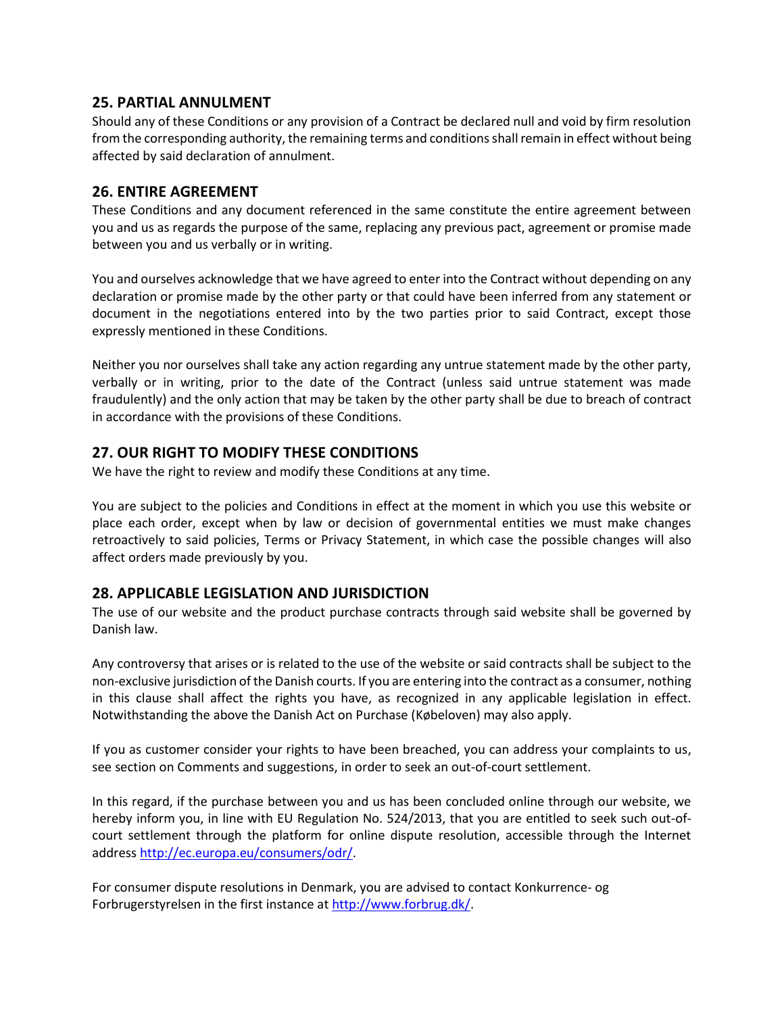### **25. PARTIAL ANNULMENT**

Should any of these Conditions or any provision of a Contract be declared null and void by firm resolution from the corresponding authority, the remaining terms and conditions shall remain in effect without being affected by said declaration of annulment.

### **26. ENTIRE AGREEMENT**

These Conditions and any document referenced in the same constitute the entire agreement between you and us as regards the purpose of the same, replacing any previous pact, agreement or promise made between you and us verbally or in writing.

You and ourselves acknowledge that we have agreed to enter into the Contract without depending on any declaration or promise made by the other party or that could have been inferred from any statement or document in the negotiations entered into by the two parties prior to said Contract, except those expressly mentioned in these Conditions.

Neither you nor ourselves shall take any action regarding any untrue statement made by the other party, verbally or in writing, prior to the date of the Contract (unless said untrue statement was made fraudulently) and the only action that may be taken by the other party shall be due to breach of contract in accordance with the provisions of these Conditions.

# **27. OUR RIGHT TO MODIFY THESE CONDITIONS**

We have the right to review and modify these Conditions at any time.

You are subject to the policies and Conditions in effect at the moment in which you use this website or place each order, except when by law or decision of governmental entities we must make changes retroactively to said policies, Terms or Privacy Statement, in which case the possible changes will also affect orders made previously by you.

# **28. APPLICABLE LEGISLATION AND JURISDICTION**

The use of our website and the product purchase contracts through said website shall be governed by Danish law.

Any controversy that arises or is related to the use of the website or said contracts shall be subject to the non-exclusive jurisdiction of the Danish courts. If you are entering into the contract as a consumer, nothing in this clause shall affect the rights you have, as recognized in any applicable legislation in effect. Notwithstanding the above the Danish Act on Purchase (Købeloven) may also apply.

If you as customer consider your rights to have been breached, you can address your complaints to us, see section on Comments and suggestions, in order to seek an out-of-court settlement.

In this regard, if the purchase between you and us has been concluded online through our website, we hereby inform you, in line with EU Regulation No. 524/2013, that you are entitled to seek such out-ofcourt settlement through the platform for online dispute resolution, accessible through the Internet address [http://ec.europa.eu/consumers/odr/.](http://ec.europa.eu/consumers/odr/)

For consumer dispute resolutions in Denmark, you are advised to contact Konkurrence- og Forbrugerstyrelsen in the first instance at [http://www.forbrug.dk/.](http://www.forbrug.dk/)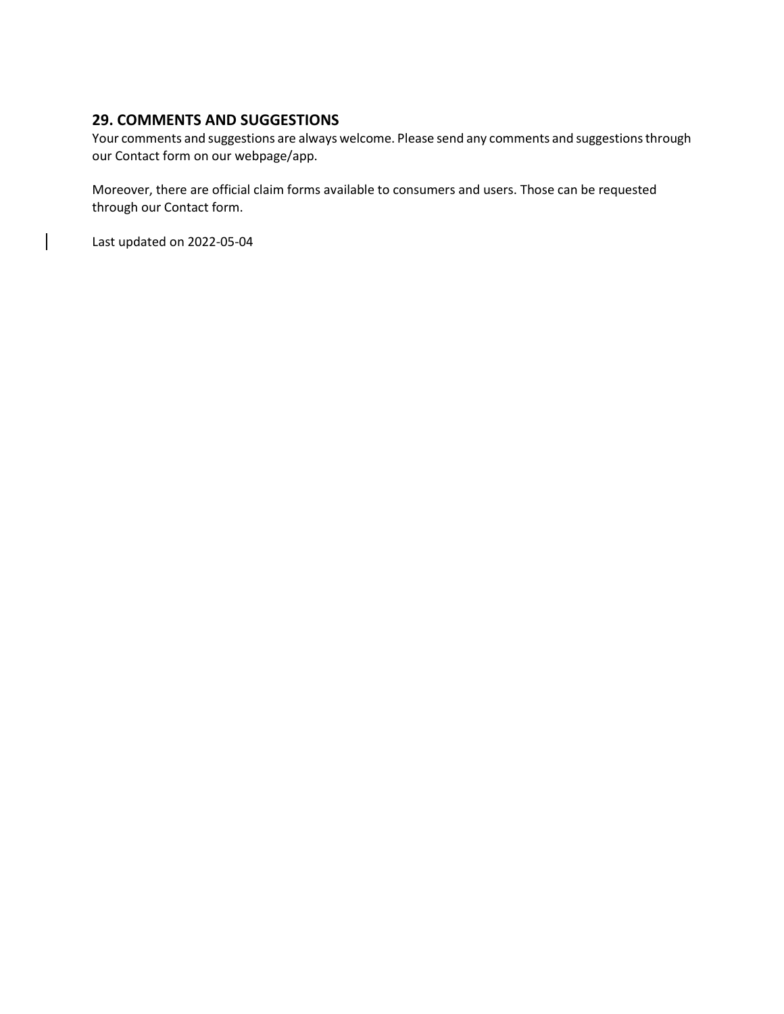# **29. COMMENTS AND SUGGESTIONS**

Your comments and suggestions are always welcome. Please send any comments and suggestions through our Contact form on our webpage/app.

Moreover, there are official claim forms available to consumers and users. Those can be requested through our Contact form.

Last updated on 2022-05-04